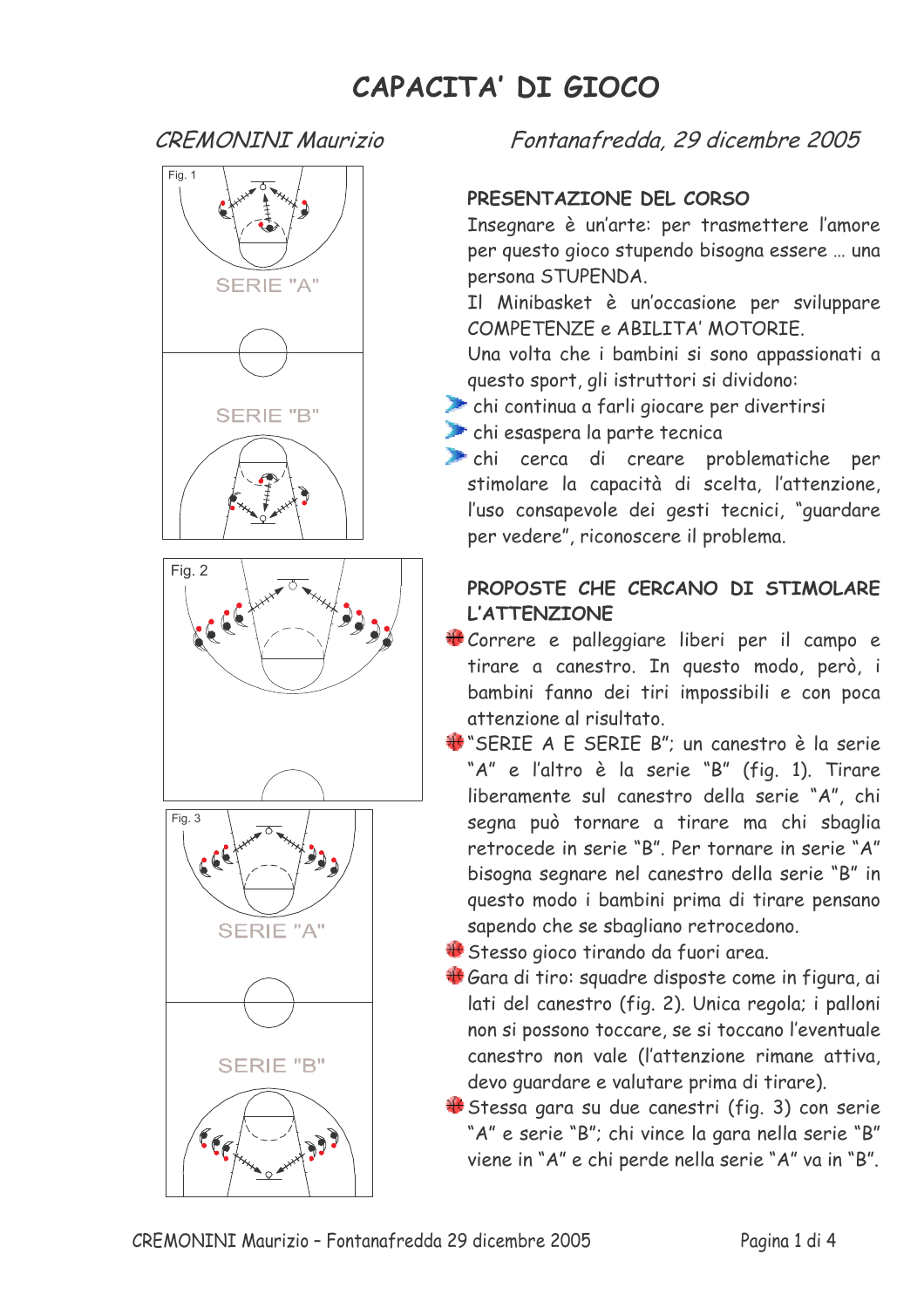## CAPACITA' DI GIOCO

## **CREMONINI Maurizio**



Fontanafredda, 29 dicembre 2005

## PRESENTAZIONE DEL CORSO

Insegnare è un'arte: per trasmettere l'amore per questo gioco stupendo bisogna essere ... una persona STUPENDA.

Il Minibasket è un'occasione per sviluppare COMPETENZE e ABILITA' MOTORIE.

Una volta che i bambini si sono appassionati a questo sport, gli istruttori si dividono:

thi continua a farli giocare per divertirsi

thi esaspera la parte tecnica

chi cerca di creare problematiche per stimolare la capacità di scelta, l'attenzione, l'uso consapevole dei gesti tecnici, "guardare per vedere", riconoscere il problema.

## PROPOSTE CHE CERCANO DI STIMOLARE **L'ATTENZIONE**

- Correre e palleggiare liberi per il campo e tirare a canestro. In questo modo, però, i bambini fanno dei tiri impossibili e con poca attenzione al risultato.
- \*\* SERIE A E SERIE B"; un canestro è la serie "A" e l'altro è la serie "B" (fig. 1). Tirare liberamente sul canestro della serie "A", chi segna può tornare a tirare ma chi sbaglia retrocede in serie "B". Per tornare in serie "A" bisogna segnare nel canestro della serie "B" in questo modo i bambini prima di tirare pensano sapendo che se sbagliano retrocedono.

+ Stesso gioco tirando da fuori area.

- + Gara di tiro: squadre disposte come in figura, ai lati del canestro (fig. 2). Unica regola; i palloni non si possono toccare, se si toccano l'eventuale canestro non vale (l'attenzione rimane attiva, devo quardare e valutare prima di tirare).
- + Stessa gara su due canestri (fig. 3) con serie "A" e serie "B"; chi vince la gara nella serie "B" viene in "A" e chi perde nella serie "A" va in "B".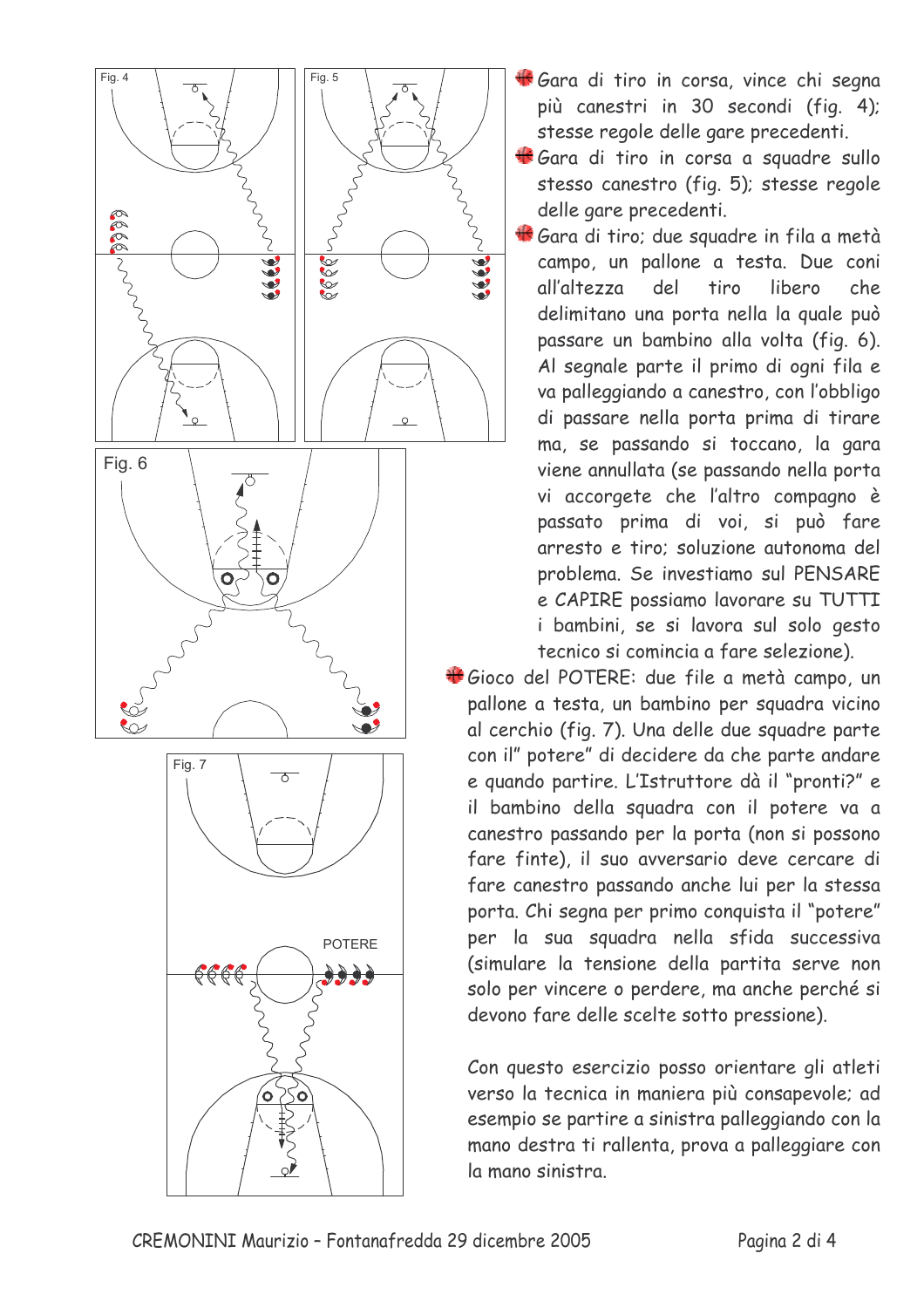

- Gara di tiro in corsa, vince chi segna più canestri in 30 secondi (fig. 4); stesse regole delle gare precedenti.
- Gara di tiro in corsa a squadre sullo stesso canestro (fig. 5); stesse regole delle gare precedenti.
- Gara di tiro; due squadre in fila a metà campo, un pallone a testa. Due coni libero all'altezza  $de<sub>l</sub>$ tiro  $che.$ delimitano una porta nella la quale può passare un bambino alla volta (fig. 6). Al segnale parte il primo di ogni fila e va palleggiando a canestro, con l'obbligo di passare nella porta prima di tirare ma, se passando si toccano, la gara viene annullata (se passando nella porta vi accorgete che l'altro compagno è passato prima di voi, si può fare arresto e tiro; soluzione autonoma del problema. Se investiamo sul PENSARE e CAPIRE possiamo lavorare su TUTTI i bambini, se si lavora sul solo gesto tecnico si comincia a fare selezione).

Gioco del POTERE: due file a metà campo, un pallone a testa, un bambino per squadra vicino al cerchio (fig. 7). Una delle due squadre parte con il" potere" di decidere da che parte andare e quando partire. L'Istruttore dà il "pronti?" e il bambino della squadra con il potere va a canestro passando per la porta (non si possono fare finte), il suo avversario deve cercare di fare canestro passando anche lui per la stessa porta. Chi segna per primo conquista il "potere" per la sua squadra nella sfida successiva (simulare la tensione della partita serve non solo per vincere o perdere, ma anche perché si devono fare delle scelte sotto pressione).

Con questo esercizio posso orientare gli atleti verso la tecnica in maniera più consapevole; ad esempio se partire a sinistra palleggiando con la mano destra ti rallenta, prova a palleggiare con la mano sinistra.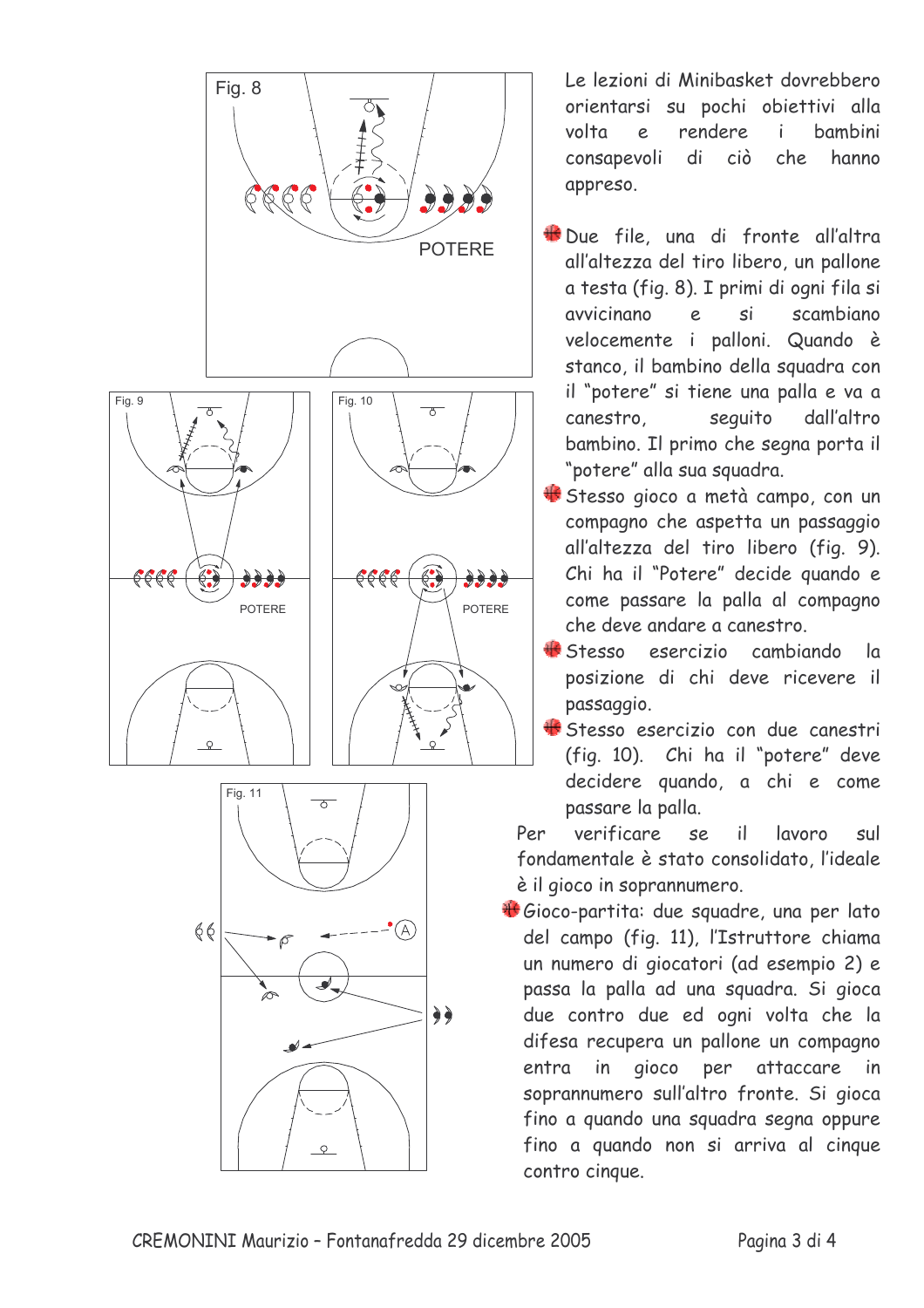

Le lezioni di Minibasket dovrebbero orientarsi su pochi obiettivi alla rendere volta  $\overline{e}$  $\mathbf{i}$ **bambini** consapevoli  $di$ ciò che hanno appreso.

- Due file, una di fronte all'altra all'altezza del tiro libero, un pallone a testa (fig. 8). I primi di ogni fila si avvicinano  $\epsilon$ si scambiano velocemente i palloni. Quando è stanco, il bambino della squadra con il "potere" si tiene una palla e va a canestro seguito dall'altro bambino. Il primo che segna porta il "potere" alla sua squadra.
- Stesso gioco a metà campo, con un compagno che aspetta un passaggio all'altezza del tiro libero (fig. 9). Chi ha il "Potere" decide quando e come passare la palla al compagno che deve andare a canestro.
- Stesso esercizio cambiando  $\overline{a}$ posizione di chi deve ricevere il passaggio.
- Stesso esercizio con due canestri (fig. 10). Chi ha il "potere" deve decidere quando, a chi e come passare la palla.

Per verificare SP.  $\mathbf{i}$ lavoro sul fondamentale è stato consolidato l'ideale è il gioco in soprannumero.

Gioco-partita: due squadre, una per lato del campo (fig. 11), l'Istruttore chiama un numero di giocatori (ad esempio 2) e passa la palla ad una squadra. Si gioca due contro due ed ogni volta che la difesa recupera un pallone un compagno in gioco per attaccare entra in soprannumero sull'altro fronte. Si gioca fino a quando una squadra segna oppure fino a quando non si arriva al cinque contro cinque.